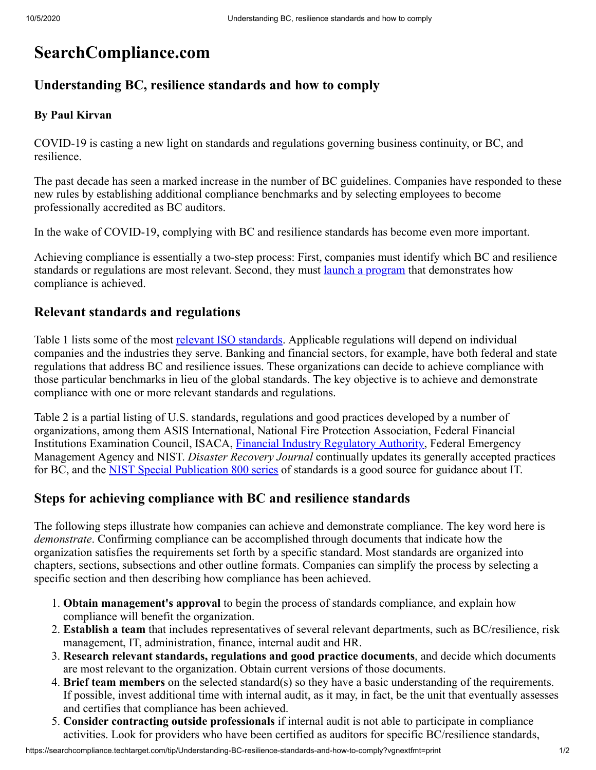# **SearchCompliance.com**

## **Understanding BC, resilience standards and how to comply**

#### **By Paul Kirvan**

COVID-19 is casting a new light on standards and regulations governing business continuity, or BC, and resilience.

The past decade has seen a marked increase in the number of BC guidelines. Companies have responded to these new rules by establishing additional compliance benchmarks and by selecting employees to become professionally accredited as BC auditors.

In the wake of COVID-19, complying with BC and resilience standards has become even more important.

Achieving compliance is essentially a two-step process: First, companies must identify which BC and resilience standards or regulations are most relevant. Second, they must <u>launch a program</u> that demonstrates how compliance is achieved.

# **Relevant standards and regulations**

Table 1 lists some of the most [relevant ISO standards.](https://searchdisasterrecovery.techtarget.com/answer/How-does-the-ISO-22316-standard-cover-IT-resilience) Applicable regulations will depend on individual companies and the industries they serve. Banking and financial sectors, for example, have both federal and state regulations that address BC and resilience issues. These organizations can decide to achieve compliance with those particular benchmarks in lieu of the global standards. The key objective is to achieve and demonstrate compliance with one or more relevant standards and regulations.

Table 2 is a partial listing of U.S. standards, regulations and good practices developed by a number of organizations, among them ASIS International, National Fire Protection Association, Federal Financial Institutions Examination Council, ISACA, [Financial Industry Regulatory Authority,](https://searchcompliance.techtarget.com/definition/Financial-Industry-Regulatory-Authority-FINRA) Federal Emergency Management Agency and NIST. *Disaster Recovery Journal* continually updates its generally accepted practices for BC, and the **NIST Special Publication 800 series** of standards is a good source for guidance about IT.

## **Steps for achieving compliance with BC and resilience standards**

The following steps illustrate how companies can achieve and demonstrate compliance. The key word here is *demonstrate*. Confirming compliance can be accomplished through documents that indicate how the organization satisfies the requirements set forth by a specific standard. Most standards are organized into chapters, sections, subsections and other outline formats. Companies can simplify the process by selecting a specific section and then describing how compliance has been achieved.

- 1. **Obtain management's approval** to begin the process of standards compliance, and explain how compliance will benefit the organization.
- 2. **Establish a team** that includes representatives of several relevant departments, such as BC/resilience, risk management, IT, administration, finance, internal audit and HR.
- 3. **Research relevant standards, regulations and good practice documents**, and decide which documents are most relevant to the organization. Obtain current versions of those documents.
- 4. **Brief team members** on the selected standard(s) so they have a basic understanding of the requirements. If possible, invest additional time with internal audit, as it may, in fact, be the unit that eventually assesses and certifies that compliance has been achieved.
- 5. **Consider contracting outside professionals** if internal audit is not able to participate in compliance activities. Look for providers who have been certified as auditors for specific BC/resilience standards,